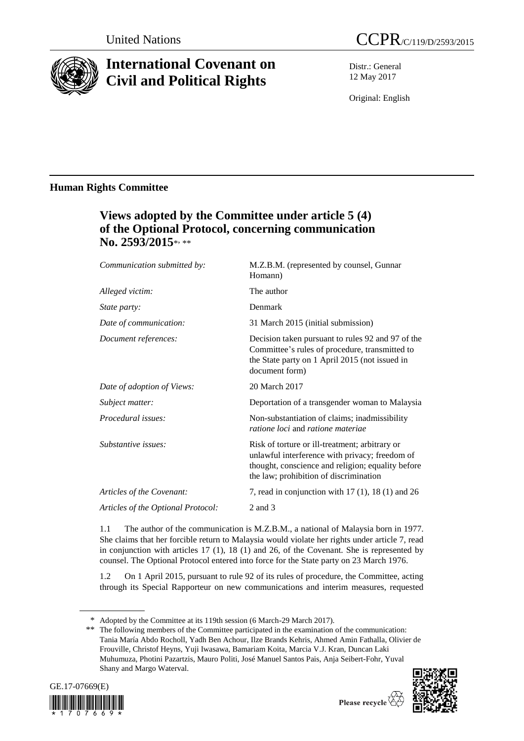

# **International Covenant on Civil and Political Rights**

Distr.: General 12 May 2017

Original: English

### **Human Rights Committee**

## **Views adopted by the Committee under article 5 (4) of the Optional Protocol, concerning communication** No. 2593/2015\*<sub>\*\*</sub>\*

| Communication submitted by:        | M.Z.B.M. (represented by counsel, Gunnar<br>Homann)                                                                                                                                             |
|------------------------------------|-------------------------------------------------------------------------------------------------------------------------------------------------------------------------------------------------|
| Alleged victim:                    | The author                                                                                                                                                                                      |
| <i>State party:</i>                | Denmark                                                                                                                                                                                         |
| Date of communication:             | 31 March 2015 (initial submission)                                                                                                                                                              |
| Document references:               | Decision taken pursuant to rules 92 and 97 of the<br>Committee's rules of procedure, transmitted to<br>the State party on 1 April 2015 (not issued in<br>document form)                         |
| Date of adoption of Views:         | 20 March 2017                                                                                                                                                                                   |
| Subject matter:                    | Deportation of a transgender woman to Malaysia                                                                                                                                                  |
| Procedural issues:                 | Non-substantiation of claims; inadmissibility<br><i>ratione loci</i> and <i>ratione materiae</i>                                                                                                |
| Substantive issues:                | Risk of torture or ill-treatment; arbitrary or<br>unlawful interference with privacy; freedom of<br>thought, conscience and religion; equality before<br>the law; prohibition of discrimination |
| Articles of the Covenant:          | 7, read in conjunction with $17(1)$ , $18(1)$ and $26$                                                                                                                                          |
| Articles of the Optional Protocol: | $2$ and $3$                                                                                                                                                                                     |
|                                    |                                                                                                                                                                                                 |

1.1 The author of the communication is M.Z.B.M., a national of Malaysia born in 1977. She claims that her forcible return to Malaysia would violate her rights under article 7, read in conjunction with articles 17 (1), 18 (1) and 26, of the Covenant. She is represented by counsel. The Optional Protocol entered into force for the State party on 23 March 1976.

1.2 On 1 April 2015, pursuant to rule 92 of its rules of procedure, the Committee, acting through its Special Rapporteur on new communications and interim measures, requested

<sup>\*\*</sup> The following members of the Committee participated in the examination of the communication: Tania María Abdo Rocholl, Yadh Ben Achour, Ilze Brands Kehris, Ahmed Amin Fathalla, Olivier de Frouville, Christof Heyns, Yuji Iwasawa, Bamariam Koita, Marcia V.J. Kran, Duncan Laki Muhumuza, Photini Pazartzis, Mauro Politi, José Manuel Santos Pais, Anja Seibert-Fohr, Yuval Shany and Margo Waterval.





Please recycle  $\overline{\overline{C}}$ 

<sup>\*</sup> Adopted by the Committee at its 119th session (6 March-29 March 2017).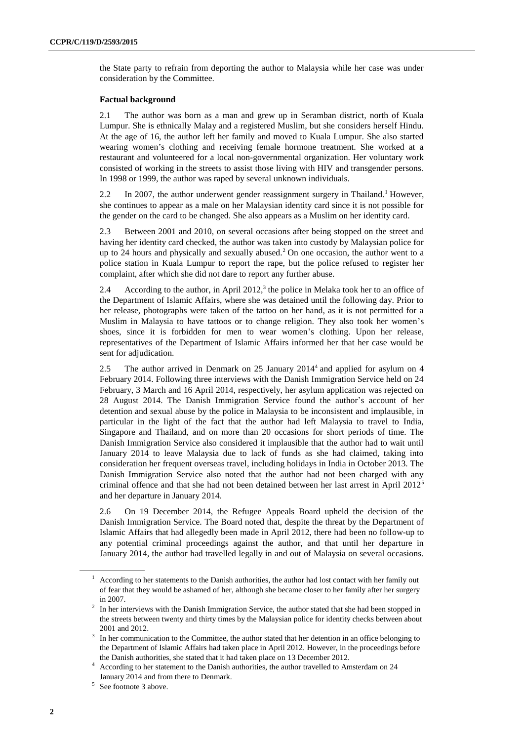the State party to refrain from deporting the author to Malaysia while her case was under consideration by the Committee.

#### **Factual background**

2.1 The author was born as a man and grew up in Seramban district, north of Kuala Lumpur. She is ethnically Malay and a registered Muslim, but she considers herself Hindu. At the age of 16, the author left her family and moved to Kuala Lumpur. She also started wearing women's clothing and receiving female hormone treatment. She worked at a restaurant and volunteered for a local non-governmental organization. Her voluntary work consisted of working in the streets to assist those living with HIV and transgender persons. In 1998 or 1999, the author was raped by several unknown individuals.

2.2 In 2007, the author underwent gender reassignment surgery in Thailand.<sup>1</sup> However, she continues to appear as a male on her Malaysian identity card since it is not possible for the gender on the card to be changed. She also appears as a Muslim on her identity card.

2.3 Between 2001 and 2010, on several occasions after being stopped on the street and having her identity card checked, the author was taken into custody by Malaysian police for up to 24 hours and physically and sexually abused.<sup>2</sup> On one occasion, the author went to a police station in Kuala Lumpur to report the rape, but the police refused to register her complaint, after which she did not dare to report any further abuse.

<span id="page-1-0"></span>2.4 According to the author, in April 2012,<sup>3</sup> the police in Melaka took her to an office of the Department of Islamic Affairs, where she was detained until the following day. Prior to her release, photographs were taken of the tattoo on her hand, as it is not permitted for a Muslim in Malaysia to have tattoos or to change religion. They also took her women's shoes, since it is forbidden for men to wear women's clothing. Upon her release, representatives of the Department of Islamic Affairs informed her that her case would be sent for adjudication.

2.5 The author arrived in Denmark on 25 January 2014<sup>4</sup> and applied for asylum on 4 February 2014. Following three interviews with the Danish Immigration Service held on 24 February, 3 March and 16 April 2014, respectively, her asylum application was rejected on 28 August 2014. The Danish Immigration Service found the author's account of her detention and sexual abuse by the police in Malaysia to be inconsistent and implausible, in particular in the light of the fact that the author had left Malaysia to travel to India, Singapore and Thailand, and on more than 20 occasions for short periods of time. The Danish Immigration Service also considered it implausible that the author had to wait until January 2014 to leave Malaysia due to lack of funds as she had claimed, taking into consideration her frequent overseas travel, including holidays in India in October 2013. The Danish Immigration Service also noted that the author had not been charged with any criminal offence and that she had not been detained between her last arrest in April 2012<sup>5</sup> and her departure in January 2014.

2.6 On 19 December 2014, the Refugee Appeals Board upheld the decision of the Danish Immigration Service. The Board noted that, despite the threat by the Department of Islamic Affairs that had allegedly been made in April 2012, there had been no follow-up to any potential criminal proceedings against the author, and that until her departure in January 2014, the author had travelled legally in and out of Malaysia on several occasions.

<sup>1</sup> According to her statements to the Danish authorities, the author had lost contact with her family out of fear that they would be ashamed of her, although she became closer to her family after her surgery in 2007.

<sup>&</sup>lt;sup>2</sup> In her interviews with the Danish Immigration Service, the author stated that she had been stopped in the streets between twenty and thirty times by the Malaysian police for identity checks between about 2001 and 2012.

<sup>&</sup>lt;sup>3</sup> In her communication to the Committee, the author stated that her detention in an office belonging to the Department of Islamic Affairs had taken place in April 2012. However, in the proceedings before the Danish authorities, she stated that it had taken place on 13 December 2012.

<sup>4</sup> According to her statement to the Danish authorities, the author travelled to Amsterdam on 24 January 2014 and from there to Denmark.

<sup>5</sup> See footnote [3](#page-1-0) above.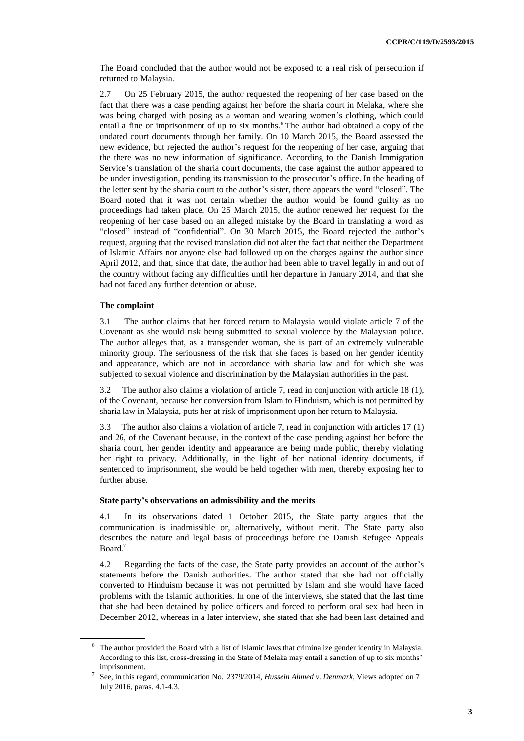The Board concluded that the author would not be exposed to a real risk of persecution if returned to Malaysia.

2.7 On 25 February 2015, the author requested the reopening of her case based on the fact that there was a case pending against her before the sharia court in Melaka, where she was being charged with posing as a woman and wearing women's clothing, which could entail a fine or imprisonment of up to six months.<sup>6</sup> The author had obtained a copy of the undated court documents through her family. On 10 March 2015, the Board assessed the new evidence, but rejected the author's request for the reopening of her case, arguing that the there was no new information of significance. According to the Danish Immigration Service's translation of the sharia court documents, the case against the author appeared to be under investigation, pending its transmission to the prosecutor's office. In the heading of the letter sent by the sharia court to the author's sister, there appears the word "closed". The Board noted that it was not certain whether the author would be found guilty as no proceedings had taken place. On 25 March 2015, the author renewed her request for the reopening of her case based on an alleged mistake by the Board in translating a word as "closed" instead of "confidential". On 30 March 2015, the Board rejected the author's request, arguing that the revised translation did not alter the fact that neither the Department of Islamic Affairs nor anyone else had followed up on the charges against the author since April 2012, and that, since that date, the author had been able to travel legally in and out of the country without facing any difficulties until her departure in January 2014, and that she had not faced any further detention or abuse.

### **The complaint**

3.1 The author claims that her forced return to Malaysia would violate article 7 of the Covenant as she would risk being submitted to sexual violence by the Malaysian police. The author alleges that, as a transgender woman, she is part of an extremely vulnerable minority group. The seriousness of the risk that she faces is based on her gender identity and appearance, which are not in accordance with sharia law and for which she was subjected to sexual violence and discrimination by the Malaysian authorities in the past.

3.2 The author also claims a violation of article 7, read in conjunction with article 18 (1), of the Covenant, because her conversion from Islam to Hinduism, which is not permitted by sharia law in Malaysia, puts her at risk of imprisonment upon her return to Malaysia.

3.3 The author also claims a violation of article 7, read in conjunction with articles 17 (1) and 26, of the Covenant because, in the context of the case pending against her before the sharia court, her gender identity and appearance are being made public, thereby violating her right to privacy. Additionally, in the light of her national identity documents, if sentenced to imprisonment, she would be held together with men, thereby exposing her to further abuse.

#### **State party's observations on admissibility and the merits**

4.1 In its observations dated 1 October 2015, the State party argues that the communication is inadmissible or, alternatively, without merit. The State party also describes the nature and legal basis of proceedings before the Danish Refugee Appeals Board.<sup>7</sup>

4.2 Regarding the facts of the case, the State party provides an account of the author's statements before the Danish authorities. The author stated that she had not officially converted to Hinduism because it was not permitted by Islam and she would have faced problems with the Islamic authorities. In one of the interviews, she stated that the last time that she had been detained by police officers and forced to perform oral sex had been in December 2012, whereas in a later interview, she stated that she had been last detained and

<sup>6</sup> The author provided the Board with a list of Islamic laws that criminalize gender identity in Malaysia. According to this list, cross-dressing in the State of Melaka may entail a sanction of up to six months' imprisonment.

<sup>7</sup> See, in this regard, communication No. 2379/2014, *Hussein Ahmed v. Denmark*, Views adopted on 7 July 2016, paras. 4.1-4.3.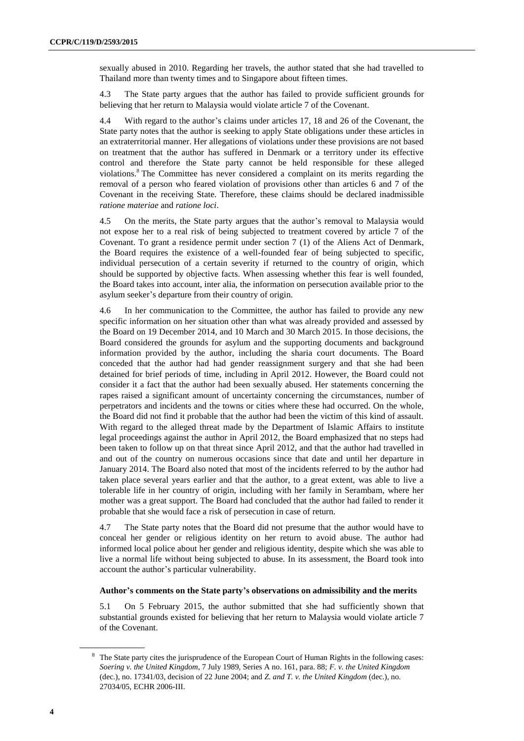sexually abused in 2010. Regarding her travels, the author stated that she had travelled to Thailand more than twenty times and to Singapore about fifteen times.

4.3 The State party argues that the author has failed to provide sufficient grounds for believing that her return to Malaysia would violate article 7 of the Covenant.

4.4 With regard to the author's claims under articles 17, 18 and 26 of the Covenant, the State party notes that the author is seeking to apply State obligations under these articles in an extraterritorial manner. Her allegations of violations under these provisions are not based on treatment that the author has suffered in Denmark or a territory under its effective control and therefore the State party cannot be held responsible for these alleged violations.<sup>8</sup> The Committee has never considered a complaint on its merits regarding the removal of a person who feared violation of provisions other than articles 6 and 7 of the Covenant in the receiving State. Therefore, these claims should be declared inadmissible *ratione materiae* and *ratione loci*.

4.5 On the merits, the State party argues that the author's removal to Malaysia would not expose her to a real risk of being subjected to treatment covered by article 7 of the Covenant. To grant a residence permit under section 7 (1) of the Aliens Act of Denmark, the Board requires the existence of a well-founded fear of being subjected to specific, individual persecution of a certain severity if returned to the country of origin, which should be supported by objective facts. When assessing whether this fear is well founded, the Board takes into account, inter alia, the information on persecution available prior to the asylum seeker's departure from their country of origin.

4.6 In her communication to the Committee, the author has failed to provide any new specific information on her situation other than what was already provided and assessed by the Board on 19 December 2014, and 10 March and 30 March 2015. In those decisions, the Board considered the grounds for asylum and the supporting documents and background information provided by the author, including the sharia court documents. The Board conceded that the author had had gender reassignment surgery and that she had been detained for brief periods of time, including in April 2012. However, the Board could not consider it a fact that the author had been sexually abused. Her statements concerning the rapes raised a significant amount of uncertainty concerning the circumstances, number of perpetrators and incidents and the towns or cities where these had occurred. On the whole, the Board did not find it probable that the author had been the victim of this kind of assault. With regard to the alleged threat made by the Department of Islamic Affairs to institute legal proceedings against the author in April 2012, the Board emphasized that no steps had been taken to follow up on that threat since April 2012, and that the author had travelled in and out of the country on numerous occasions since that date and until her departure in January 2014. The Board also noted that most of the incidents referred to by the author had taken place several years earlier and that the author, to a great extent, was able to live a tolerable life in her country of origin, including with her family in Serambam, where her mother was a great support. The Board had concluded that the author had failed to render it probable that she would face a risk of persecution in case of return.

4.7 The State party notes that the Board did not presume that the author would have to conceal her gender or religious identity on her return to avoid abuse. The author had informed local police about her gender and religious identity, despite which she was able to live a normal life without being subjected to abuse. In its assessment, the Board took into account the author's particular vulnerability.

#### **Author's comments on the State party's observations on admissibility and the merits**

5.1 On 5 February 2015, the author submitted that she had sufficiently shown that substantial grounds existed for believing that her return to Malaysia would violate article 7 of the Covenant.

The State party cites the jurisprudence of the European Court of Human Rights in the following cases: *Soering v. the United Kingdom*, 7 July 1989, Series A no. 161, para. 88; *F. v. the United Kingdom* (dec.), no. 17341/03, decision of 22 June 2004; and *Z. and T. v. the United Kingdom* (dec.), no. 27034/05, ECHR 2006-III.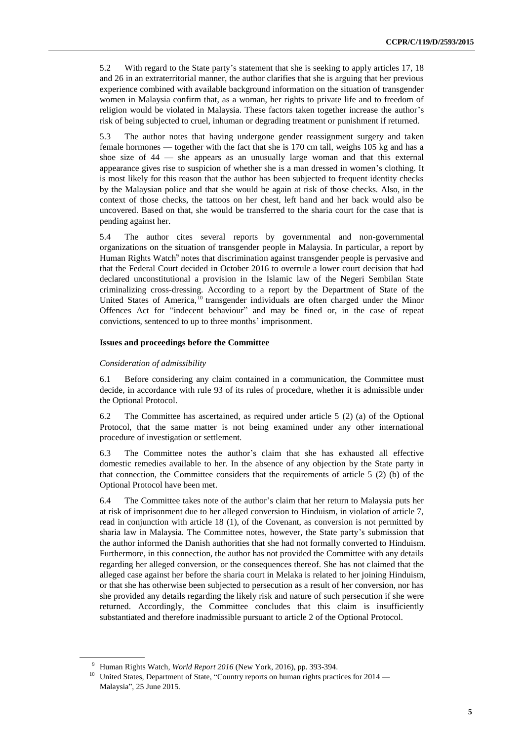5.2 With regard to the State party's statement that she is seeking to apply articles 17, 18 and 26 in an extraterritorial manner, the author clarifies that she is arguing that her previous experience combined with available background information on the situation of transgender women in Malaysia confirm that, as a woman, her rights to private life and to freedom of religion would be violated in Malaysia. These factors taken together increase the author's risk of being subjected to cruel, inhuman or degrading treatment or punishment if returned.

5.3 The author notes that having undergone gender reassignment surgery and taken female hormones — together with the fact that she is 170 cm tall, weighs 105 kg and has a shoe size of 44 — she appears as an unusually large woman and that this external appearance gives rise to suspicion of whether she is a man dressed in women's clothing. It is most likely for this reason that the author has been subjected to frequent identity checks by the Malaysian police and that she would be again at risk of those checks. Also, in the context of those checks, the tattoos on her chest, left hand and her back would also be uncovered. Based on that, she would be transferred to the sharia court for the case that is pending against her.

5.4 The author cites several reports by governmental and non-governmental organizations on the situation of transgender people in Malaysia. In particular, a report by Human Rights Watch<sup>9</sup> notes that discrimination against transgender people is pervasive and that the Federal Court decided in October 2016 to overrule a lower court decision that had declared unconstitutional a provision in the Islamic law of the Negeri Sembilan State criminalizing cross-dressing. According to a report by the Department of State of the United States of America,  $^{10}$  transgender individuals are often charged under the Minor Offences Act for "indecent behaviour" and may be fined or, in the case of repeat convictions, sentenced to up to three months' imprisonment.

#### **Issues and proceedings before the Committee**

#### *Consideration of admissibility*

6.1 Before considering any claim contained in a communication, the Committee must decide, in accordance with rule 93 of its rules of procedure, whether it is admissible under the Optional Protocol.

6.2 The Committee has ascertained, as required under article 5 (2) (a) of the Optional Protocol, that the same matter is not being examined under any other international procedure of investigation or settlement.

6.3 The Committee notes the author's claim that she has exhausted all effective domestic remedies available to her. In the absence of any objection by the State party in that connection, the Committee considers that the requirements of article 5 (2) (b) of the Optional Protocol have been met.

6.4 The Committee takes note of the author's claim that her return to Malaysia puts her at risk of imprisonment due to her alleged conversion to Hinduism, in violation of article 7, read in conjunction with article 18 (1), of the Covenant, as conversion is not permitted by sharia law in Malaysia. The Committee notes, however, the State party's submission that the author informed the Danish authorities that she had not formally converted to Hinduism. Furthermore, in this connection, the author has not provided the Committee with any details regarding her alleged conversion, or the consequences thereof. She has not claimed that the alleged case against her before the sharia court in Melaka is related to her joining Hinduism, or that she has otherwise been subjected to persecution as a result of her conversion, nor has she provided any details regarding the likely risk and nature of such persecution if she were returned. Accordingly, the Committee concludes that this claim is insufficiently substantiated and therefore inadmissible pursuant to article 2 of the Optional Protocol.

<sup>9</sup> Human Rights Watch, *World Report 2016* (New York, 2016), pp. 393-394.

<sup>&</sup>lt;sup>10</sup> United States, Department of State, "Country reports on human rights practices for 2014 — Malaysia", 25 June 2015.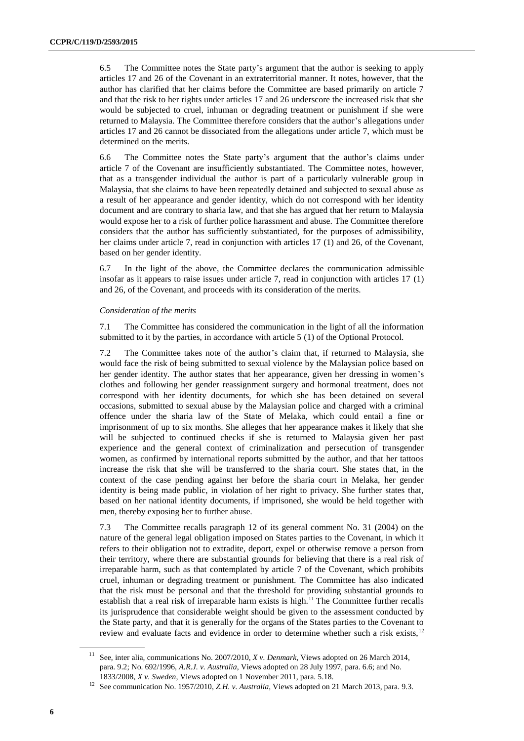6.5 The Committee notes the State party's argument that the author is seeking to apply articles 17 and 26 of the Covenant in an extraterritorial manner. It notes, however, that the author has clarified that her claims before the Committee are based primarily on article 7 and that the risk to her rights under articles 17 and 26 underscore the increased risk that she would be subjected to cruel, inhuman or degrading treatment or punishment if she were returned to Malaysia. The Committee therefore considers that the author's allegations under articles 17 and 26 cannot be dissociated from the allegations under article 7, which must be determined on the merits.

6.6 The Committee notes the State party's argument that the author's claims under article 7 of the Covenant are insufficiently substantiated. The Committee notes, however, that as a transgender individual the author is part of a particularly vulnerable group in Malaysia, that she claims to have been repeatedly detained and subjected to sexual abuse as a result of her appearance and gender identity, which do not correspond with her identity document and are contrary to sharia law, and that she has argued that her return to Malaysia would expose her to a risk of further police harassment and abuse. The Committee therefore considers that the author has sufficiently substantiated, for the purposes of admissibility, her claims under article 7, read in conjunction with articles 17 (1) and 26, of the Covenant, based on her gender identity.

6.7 In the light of the above, the Committee declares the communication admissible insofar as it appears to raise issues under article 7, read in conjunction with articles 17 (1) and 26, of the Covenant, and proceeds with its consideration of the merits.

#### *Consideration of the merits*

7.1 The Committee has considered the communication in the light of all the information submitted to it by the parties, in accordance with article 5 (1) of the Optional Protocol.

7.2 The Committee takes note of the author's claim that, if returned to Malaysia, she would face the risk of being submitted to sexual violence by the Malaysian police based on her gender identity. The author states that her appearance, given her dressing in women's clothes and following her gender reassignment surgery and hormonal treatment, does not correspond with her identity documents, for which she has been detained on several occasions, submitted to sexual abuse by the Malaysian police and charged with a criminal offence under the sharia law of the State of Melaka, which could entail a fine or imprisonment of up to six months. She alleges that her appearance makes it likely that she will be subjected to continued checks if she is returned to Malaysia given her past experience and the general context of criminalization and persecution of transgender women, as confirmed by international reports submitted by the author, and that her tattoos increase the risk that she will be transferred to the sharia court. She states that, in the context of the case pending against her before the sharia court in Melaka, her gender identity is being made public, in violation of her right to privacy. She further states that, based on her national identity documents, if imprisoned, she would be held together with men, thereby exposing her to further abuse.

7.3 The Committee recalls paragraph 12 of its general comment No. 31 (2004) on the nature of the general legal obligation imposed on States parties to the Covenant, in which it refers to their obligation not to extradite, deport, expel or otherwise remove a person from their territory, where there are substantial grounds for believing that there is a real risk of irreparable harm, such as that contemplated by article 7 of the Covenant, which prohibits cruel, inhuman or degrading treatment or punishment. The Committee has also indicated that the risk must be personal and that the threshold for providing substantial grounds to establish that a real risk of irreparable harm exists is high.<sup>11</sup> The Committee further recalls its jurisprudence that considerable weight should be given to the assessment conducted by the State party, and that it is generally for the organs of the States parties to the Covenant to review and evaluate facts and evidence in order to determine whether such a risk exists,<sup>12</sup>

<sup>11</sup> See, inter alia, communications No. 2007/2010, *X v. Denmark*, Views adopted on 26 March 2014, para. 9.2; No. 692/1996, *A.R.J. v. Australia*, Views adopted on 28 July 1997, para. 6.6; and No. 1833/2008, *X v. Sweden*, Views adopted on 1 November 2011, para. 5.18.

<sup>12</sup> See communication No. 1957/2010, *Z.H. v. Australia*, Views adopted on 21 March 2013, para. 9.3.